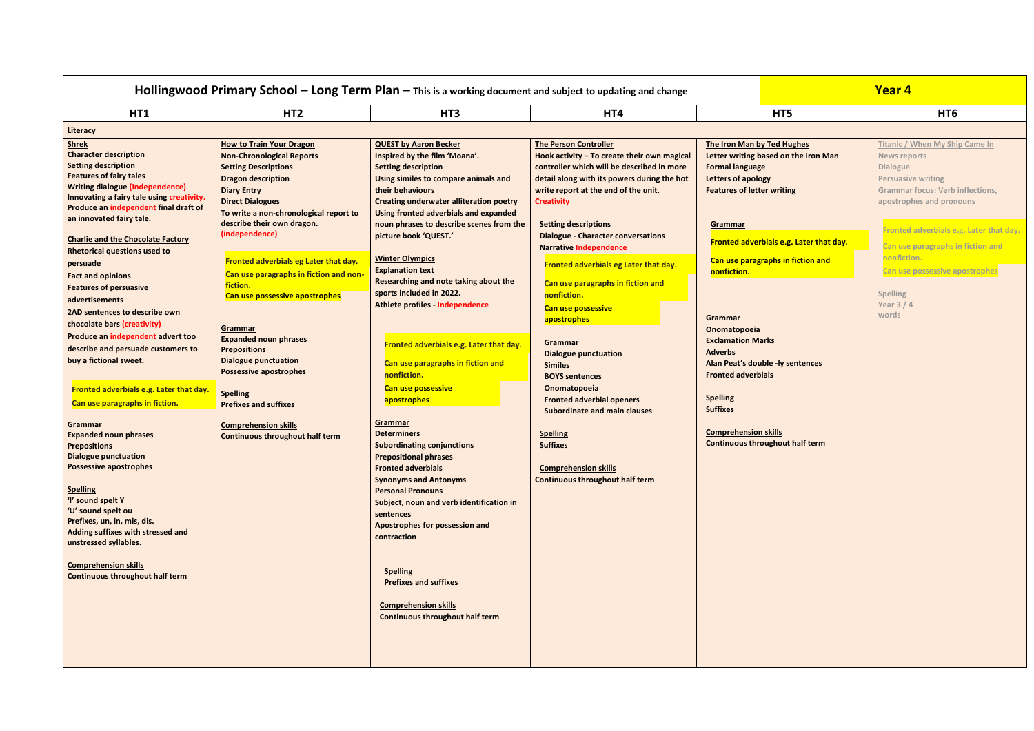| HT <sub>2</sub><br>HT5<br>HT1<br>HT3<br>HT4<br>HT <sub>6</sub><br>Literacy<br><b>Titanic / When My Ship Came In</b><br><b>Shrek</b><br><b>How to Train Your Dragon</b><br><b>QUEST by Aaron Becker</b><br><b>The Person Controller</b><br>The Iron Man by Ted Hughes<br><b>Character description</b><br>Inspired by the film 'Moana'.<br><b>Non-Chronological Reports</b><br>Hook activity - To create their own magical<br>Letter writing based on the Iron Man<br><b>News reports</b><br><b>Setting description</b><br>controller which will be described in more<br><b>Setting Descriptions</b><br><b>Setting description</b><br><b>Formal language</b><br><b>Dialogue</b><br><b>Features of fairy tales</b><br><b>Dragon description</b><br>detail along with its powers during the hot<br>Using similes to compare animals and<br>Letters of apology<br><b>Persuasive writing</b><br><b>Writing dialogue (Independence)</b><br>their behaviours<br><b>Diary Entry</b><br>write report at the end of the unit.<br><b>Features of letter writing</b><br><b>Grammar focus: Verb inflections,</b><br>Innovating a fairy tale using creativity.<br><b>Direct Dialogues</b><br><b>Creating underwater alliteration poetry</b><br><b>Creativity</b><br>apostrophes and pronouns<br>Produce an independent final draft of<br>To write a non-chronological report to<br>Using fronted adverbials and expanded<br>an innovated fairy tale.<br>describe their own dragon.<br>noun phrases to describe scenes from the<br><b>Setting descriptions</b><br>Grammar<br>Fronted adverbials e.g. Later that day.<br>(independence)<br>picture book 'QUEST.'<br><b>Dialogue - Character conversations</b><br><b>Charlie and the Chocolate Factory</b><br>Fronted adverbials e.g. Later that day.<br>Can use paragraphs in fiction and<br><b>Narrative Independence</b><br><b>Rhetorical questions used to</b><br>nonfiction.<br><b>Winter Olympics</b><br>Can use paragraphs in fiction and<br>Fronted adverbials eg Later that day.<br>persuade<br>Fronted adverbials eg Later that day.<br><b>Explanation text</b><br>Can use possessive apostrophes<br>nonfiction.<br>Can use paragraphs in fiction and non<br><b>Fact and opinions</b><br>Researching and note taking about the<br>Can use paragraphs in fiction and<br>fiction.<br><b>Features of persuasive</b><br>sports included in 2022.<br><b>Spelling</b><br>nonfiction.<br>Can use possessive apostrophes<br>advertisements<br>Year $3/4$<br>Athlete profiles - Independence<br>Can use possessive<br>2AD sentences to describe own<br>words<br>Grammar<br>apostrophes<br>chocolate bars (creativity)<br>Grammar<br>Onomatopoeia<br>Produce an independent advert too<br><b>Expanded noun phrases</b><br><b>Exclamation Marks</b><br>Grammar<br>Fronted adverbials e.g. Later that day.<br>describe and persuade customers to<br><b>Prepositions</b><br><b>Adverbs</b><br><b>Dialogue punctuation</b><br><b>Dialogue punctuation</b><br>buy a fictional sweet.<br>Can use paragraphs in fiction and<br>Alan Peat's double -ly sentences<br><b>Similes</b><br><b>Possessive apostrophes</b><br>nonfiction.<br><b>Fronted adverbials</b><br><b>BOYS sentences</b><br><b>Can use possessive</b><br>Onomatopoeia<br>Fronted adverbials e.g. Later that day.<br><b>Spelling</b><br><b>Spelling</b><br><b>Fronted adverbial openers</b><br>apostrophes<br>Can use paragraphs in fiction.<br><b>Prefixes and suffixes</b><br><b>Suffixes</b><br><b>Subordinate and main clauses</b><br>Grammar<br><b>Grammar</b><br><b>Comprehension skills</b><br><b>Comprehension skills</b><br><b>Determiners</b><br><b>Spelling</b><br><b>Expanded noun phrases</b><br><b>Continuous throughout half term</b><br><b>Continuous throughout half term</b><br><b>Suffixes</b><br><b>Subordinating conjunctions</b><br><b>Prepositions</b><br><b>Dialogue punctuation</b><br><b>Prepositional phrases</b><br><b>Possessive apostrophes</b><br><b>Fronted adverbials</b><br><b>Comprehension skills</b><br><b>Continuous throughout half term</b><br><b>Synonyms and Antonyms</b><br><b>Spelling</b><br><b>Personal Pronouns</b><br>'I' sound spelt Y<br>Subject, noun and verb identification in<br>'U' sound spelt ou<br>sentences<br>Prefixes, un, in, mis, dis.<br>Apostrophes for possession and<br>Adding suffixes with stressed and<br>contraction<br>unstressed syllables.<br><b>Comprehension skills</b><br><b>Spelling</b><br><b>Continuous throughout half term</b><br><b>Prefixes and suffixes</b><br><b>Comprehension skills</b><br><b>Continuous throughout half term</b> |  | Hollingwood Primary School - Long Term Plan - This is a working document and subject to updating and change | Year 4 |
|----------------------------------------------------------------------------------------------------------------------------------------------------------------------------------------------------------------------------------------------------------------------------------------------------------------------------------------------------------------------------------------------------------------------------------------------------------------------------------------------------------------------------------------------------------------------------------------------------------------------------------------------------------------------------------------------------------------------------------------------------------------------------------------------------------------------------------------------------------------------------------------------------------------------------------------------------------------------------------------------------------------------------------------------------------------------------------------------------------------------------------------------------------------------------------------------------------------------------------------------------------------------------------------------------------------------------------------------------------------------------------------------------------------------------------------------------------------------------------------------------------------------------------------------------------------------------------------------------------------------------------------------------------------------------------------------------------------------------------------------------------------------------------------------------------------------------------------------------------------------------------------------------------------------------------------------------------------------------------------------------------------------------------------------------------------------------------------------------------------------------------------------------------------------------------------------------------------------------------------------------------------------------------------------------------------------------------------------------------------------------------------------------------------------------------------------------------------------------------------------------------------------------------------------------------------------------------------------------------------------------------------------------------------------------------------------------------------------------------------------------------------------------------------------------------------------------------------------------------------------------------------------------------------------------------------------------------------------------------------------------------------------------------------------------------------------------------------------------------------------------------------------------------------------------------------------------------------------------------------------------------------------------------------------------------------------------------------------------------------------------------------------------------------------------------------------------------------------------------------------------------------------------------------------------------------------------------------------------------------------------------------------------------------------------------------------------------------------------------------------------------------------------------------------------------------------------------------------------------------------------------------------------------------------------------------------------------------------------------------------------------------------------------------------------------------------------------------------------------------------------------------------------------------------------------------------------------------------------------------------------------------------------------------------------------------------------------------------------------------------------------------------------------------------------------------------------------------------------------------------------------------------------------------------------------------------------------------------------------------|--|-------------------------------------------------------------------------------------------------------------|--------|
|                                                                                                                                                                                                                                                                                                                                                                                                                                                                                                                                                                                                                                                                                                                                                                                                                                                                                                                                                                                                                                                                                                                                                                                                                                                                                                                                                                                                                                                                                                                                                                                                                                                                                                                                                                                                                                                                                                                                                                                                                                                                                                                                                                                                                                                                                                                                                                                                                                                                                                                                                                                                                                                                                                                                                                                                                                                                                                                                                                                                                                                                                                                                                                                                                                                                                                                                                                                                                                                                                                                                                                                                                                                                                                                                                                                                                                                                                                                                                                                                                                                                                                                                                                                                                                                                                                                                                                                                                                                                                                                                                                                                                |  |                                                                                                             |        |
|                                                                                                                                                                                                                                                                                                                                                                                                                                                                                                                                                                                                                                                                                                                                                                                                                                                                                                                                                                                                                                                                                                                                                                                                                                                                                                                                                                                                                                                                                                                                                                                                                                                                                                                                                                                                                                                                                                                                                                                                                                                                                                                                                                                                                                                                                                                                                                                                                                                                                                                                                                                                                                                                                                                                                                                                                                                                                                                                                                                                                                                                                                                                                                                                                                                                                                                                                                                                                                                                                                                                                                                                                                                                                                                                                                                                                                                                                                                                                                                                                                                                                                                                                                                                                                                                                                                                                                                                                                                                                                                                                                                                                |  |                                                                                                             |        |
|                                                                                                                                                                                                                                                                                                                                                                                                                                                                                                                                                                                                                                                                                                                                                                                                                                                                                                                                                                                                                                                                                                                                                                                                                                                                                                                                                                                                                                                                                                                                                                                                                                                                                                                                                                                                                                                                                                                                                                                                                                                                                                                                                                                                                                                                                                                                                                                                                                                                                                                                                                                                                                                                                                                                                                                                                                                                                                                                                                                                                                                                                                                                                                                                                                                                                                                                                                                                                                                                                                                                                                                                                                                                                                                                                                                                                                                                                                                                                                                                                                                                                                                                                                                                                                                                                                                                                                                                                                                                                                                                                                                                                |  |                                                                                                             |        |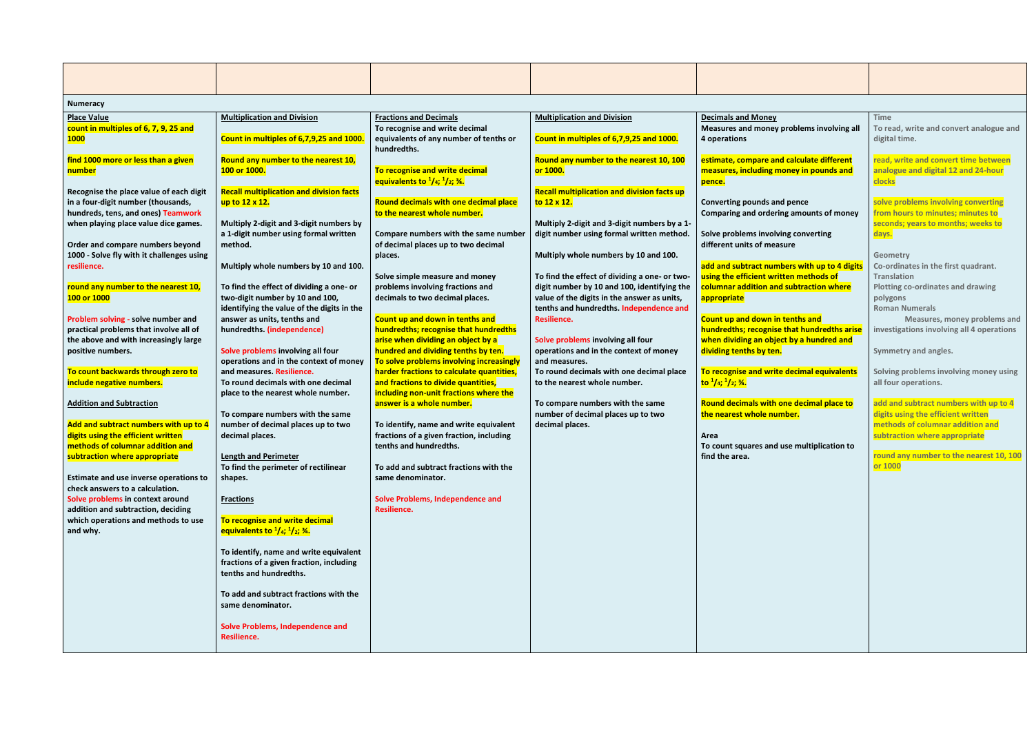| <b>Numeracy</b>                                                                                                                                                                                                                                                                                                                                                                                                                                                                                                                                                                                                |                                                                                                                                                                                                                                                                                                                                                                                                                                                                                                                                                                                                                                                                       |                                                                                                                                                                                                                                                                                                                                                                                                                                                                                                                                                                                                                                                                                    |                                                                                                                                                                                                                                                                                                                                                                                                                                                                                                                                                                                                                                                                                           |                                                                                                                                                                                                                                                                                                                                                                                                                                                                                                                                                                                                                                              |                                                                                                                                                                                                                                                                                                                                                                                                                                                                                                                                                                             |
|----------------------------------------------------------------------------------------------------------------------------------------------------------------------------------------------------------------------------------------------------------------------------------------------------------------------------------------------------------------------------------------------------------------------------------------------------------------------------------------------------------------------------------------------------------------------------------------------------------------|-----------------------------------------------------------------------------------------------------------------------------------------------------------------------------------------------------------------------------------------------------------------------------------------------------------------------------------------------------------------------------------------------------------------------------------------------------------------------------------------------------------------------------------------------------------------------------------------------------------------------------------------------------------------------|------------------------------------------------------------------------------------------------------------------------------------------------------------------------------------------------------------------------------------------------------------------------------------------------------------------------------------------------------------------------------------------------------------------------------------------------------------------------------------------------------------------------------------------------------------------------------------------------------------------------------------------------------------------------------------|-------------------------------------------------------------------------------------------------------------------------------------------------------------------------------------------------------------------------------------------------------------------------------------------------------------------------------------------------------------------------------------------------------------------------------------------------------------------------------------------------------------------------------------------------------------------------------------------------------------------------------------------------------------------------------------------|----------------------------------------------------------------------------------------------------------------------------------------------------------------------------------------------------------------------------------------------------------------------------------------------------------------------------------------------------------------------------------------------------------------------------------------------------------------------------------------------------------------------------------------------------------------------------------------------------------------------------------------------|-----------------------------------------------------------------------------------------------------------------------------------------------------------------------------------------------------------------------------------------------------------------------------------------------------------------------------------------------------------------------------------------------------------------------------------------------------------------------------------------------------------------------------------------------------------------------------|
| <b>Place Value</b><br>count in multiples of 6, 7, 9, 25 and<br><b>1000</b>                                                                                                                                                                                                                                                                                                                                                                                                                                                                                                                                     | <b>Multiplication and Division</b><br>Count in multiples of 6,7,9,25 and 1000.                                                                                                                                                                                                                                                                                                                                                                                                                                                                                                                                                                                        | <b>Fractions and Decimals</b><br>To recognise and write decimal<br>equivalents of any number of tenths or<br>hundredths.                                                                                                                                                                                                                                                                                                                                                                                                                                                                                                                                                           | <b>Multiplication and Division</b><br>Count in multiples of 6,7,9,25 and 1000.                                                                                                                                                                                                                                                                                                                                                                                                                                                                                                                                                                                                            | <b>Decimals and Money</b><br>Measures and money problems involving all<br>4 operations                                                                                                                                                                                                                                                                                                                                                                                                                                                                                                                                                       | <b>Time</b><br>To read, write and convert analogue and<br>digital time.                                                                                                                                                                                                                                                                                                                                                                                                                                                                                                     |
| find 1000 more or less than a given<br>number                                                                                                                                                                                                                                                                                                                                                                                                                                                                                                                                                                  | Round any number to the nearest 10,<br>100 or 1000.                                                                                                                                                                                                                                                                                                                                                                                                                                                                                                                                                                                                                   | To recognise and write decimal<br>equivalents to $\frac{1}{4}$ ; $\frac{1}{2}$ ; $\frac{3}{4}$ .                                                                                                                                                                                                                                                                                                                                                                                                                                                                                                                                                                                   | Round any number to the nearest 10, 100<br>or 1000.                                                                                                                                                                                                                                                                                                                                                                                                                                                                                                                                                                                                                                       | estimate, compare and calculate different<br>measures, including money in pounds and<br>pence.                                                                                                                                                                                                                                                                                                                                                                                                                                                                                                                                               | read, write and convert time between<br>analogue and digital 12 and 24-hour<br>clocks                                                                                                                                                                                                                                                                                                                                                                                                                                                                                       |
| Recognise the place value of each digit<br>in a four-digit number (thousands,<br>hundreds, tens, and ones) Teamwork<br>when playing place value dice games.<br>Order and compare numbers beyond<br>1000 - Solve fly with it challenges using<br>resilience.<br>round any number to the nearest 10,<br>100 or 1000<br>Problem solving - solve number and<br>practical problems that involve all of<br>the above and with increasingly large<br>positive numbers.<br>To count backwards through zero to<br>include negative numbers.<br><b>Addition and Subtraction</b><br>Add and subtract numbers with up to 4 | <b>Recall multiplication and division facts</b><br>up to 12 x 12.<br>Multiply 2-digit and 3-digit numbers by<br>a 1-digit number using formal written<br>method.<br>Multiply whole numbers by 10 and 100.<br>To find the effect of dividing a one- or<br>two-digit number by 10 and 100,<br>identifying the value of the digits in the<br>answer as units, tenths and<br>hundredths. (independence)<br>Solve problems involving all four<br>operations and in the context of money<br>and measures. Resilience.<br>To round decimals with one decimal<br>place to the nearest whole number.<br>To compare numbers with the same<br>number of decimal places up to two | Round decimals with one decimal place<br>to the nearest whole number.<br>Compare numbers with the same number<br>of decimal places up to two decimal<br>places.<br>Solve simple measure and money<br>problems involving fractions and<br>decimals to two decimal places.<br>Count up and down in tenths and<br>hundredths; recognise that hundredths<br>arise when dividing an object by a<br>hundred and dividing tenths by ten.<br>To solve problems involving increasingly<br>harder fractions to calculate quantities,<br>and fractions to divide quantities,<br>including non-unit fractions where the<br>answer is a whole number.<br>To identify, name and write equivalent | <b>Recall multiplication and division facts up</b><br>to 12 x 12.<br>Multiply 2-digit and 3-digit numbers by a 1-<br>digit number using formal written method.<br>Multiply whole numbers by 10 and 100.<br>To find the effect of dividing a one- or two-<br>digit number by 10 and 100, identifying the<br>value of the digits in the answer as units,<br>tenths and hundredths. Independence and<br>Resilience.<br>Solve problems involving all four<br>operations and in the context of money<br>and measures.<br>To round decimals with one decimal place<br>to the nearest whole number.<br>To compare numbers with the same<br>number of decimal places up to two<br>decimal places. | <b>Converting pounds and pence</b><br>Comparing and ordering amounts of money<br>Solve problems involving converting<br>different units of measure<br>add and subtract numbers with up to 4 digits<br>using the efficient written methods of<br>columnar addition and subtraction where<br>appropriate<br>Count up and down in tenths and<br>hundredths; recognise that hundredths arise<br>when dividing an object by a hundred and<br>dividing tenths by ten.<br>To recognise and write decimal equivalents<br>to $\frac{1}{4}$ ; $\frac{1}{2}$ ; $\frac{3}{4}$ .<br>Round decimals with one decimal place to<br>the nearest whole number. | solve problems involving converting<br>from hours to minutes; minutes to<br>seconds; years to months; weeks to<br>days.<br>Geometry<br>Co-ordinates in the first quadrant.<br><b>Translation</b><br><b>Plotting co-ordinates and drawing</b><br>polygons<br><b>Roman Numerals</b><br>Measures, money problems and<br>investigations involving all 4 operations<br>Symmetry and angles.<br>Solving problems involving money using<br>all four operations.<br>add and subtract numbers with up to 4<br>digits using the efficient written<br>methods of columnar addition and |
| digits using the efficient written<br>methods of columnar addition and<br>subtraction where appropriate<br>Estimate and use inverse operations to<br>check answers to a calculation.<br>Solve problems in context around<br>addition and subtraction, deciding<br>which operations and methods to use<br>and why.                                                                                                                                                                                                                                                                                              | decimal places.<br><b>Length and Perimeter</b><br>To find the perimeter of rectilinear<br>shapes.<br><b>Fractions</b><br>To recognise and write decimal<br>equivalents to $\frac{1}{4}$ ; $\frac{1}{2}$ ; $\frac{3}{4}$ .<br>To identify, name and write equivalent<br>fractions of a given fraction, including<br>tenths and hundredths.<br>To add and subtract fractions with the<br>same denominator.<br><b>Solve Problems, Independence and</b><br><b>Resilience.</b>                                                                                                                                                                                             | fractions of a given fraction, including<br>tenths and hundredths.<br>To add and subtract fractions with the<br>same denominator.<br><b>Solve Problems, Independence and</b><br>Resilience.                                                                                                                                                                                                                                                                                                                                                                                                                                                                                        |                                                                                                                                                                                                                                                                                                                                                                                                                                                                                                                                                                                                                                                                                           | Area<br>To count squares and use multiplication to<br>find the area.                                                                                                                                                                                                                                                                                                                                                                                                                                                                                                                                                                         | subtraction where appropriate<br>round any number to the nearest 10, 100<br>or 1000                                                                                                                                                                                                                                                                                                                                                                                                                                                                                         |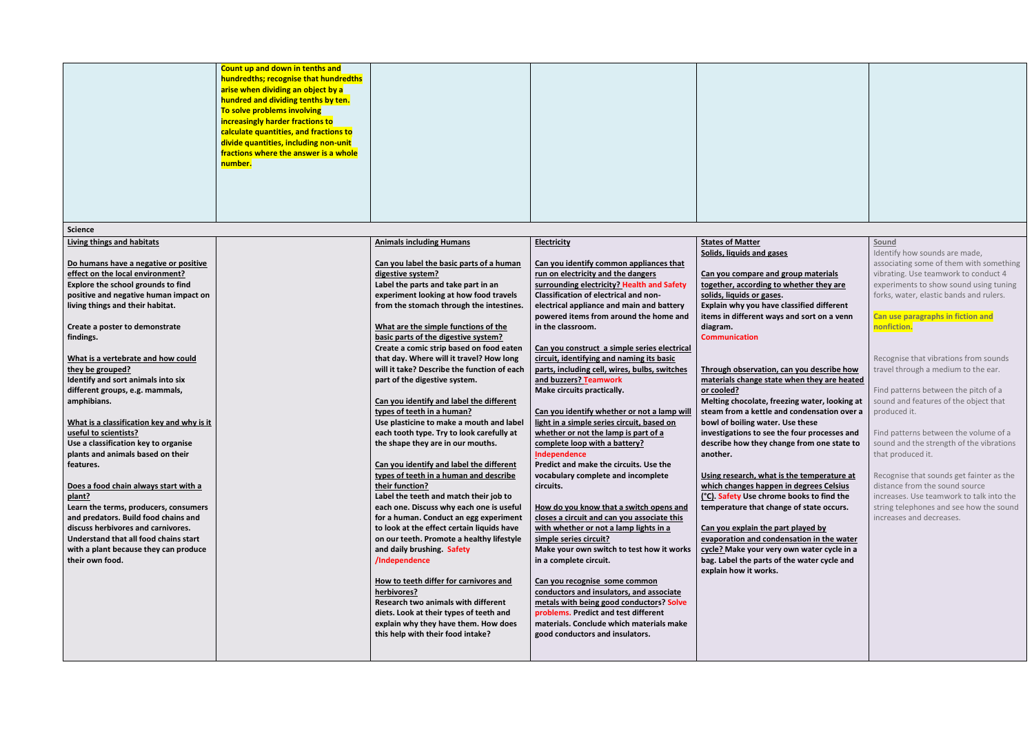|                                                                                                                                                                                                                                                                                                                                                                                                                                                                                                                                                                                                                                                                                                                                                                                                                                                                                    | Count up and down in tenths and<br>hundredths; recognise that hundredths<br>arise when dividing an object by a<br>hundred and dividing tenths by ten.<br>To solve problems involving<br>increasingly harder fractions to<br>calculate quantities, and fractions to<br>divide quantities, including non-unit<br>fractions where the answer is a whole<br>number. |                                                                                                                                                                                                                                                                                                                                                                                                                                                                                                                                                                                                                                                                                                                                                                                                                                                                                                                                                                                                                                                                                                                                                                                                                                                                                                          |                                                                                                                                                                                                                                                                                                                                                                                                                                                                                                                                                                                                                                                                                                                                                                                                                                                                                                                                                                                                                                                                                                                                                                                                                                                                                     |                                                                                                                                                                                                                                                                                                                                                                                                                                                                                                                                                                                                                                                                                                                                                                                                                                                                                                                                                                                                                                                       |                                                                                                                                                                                                                                                                                                                                                                                                                                                                                                                                                                                                                                                                                                                                                                |
|------------------------------------------------------------------------------------------------------------------------------------------------------------------------------------------------------------------------------------------------------------------------------------------------------------------------------------------------------------------------------------------------------------------------------------------------------------------------------------------------------------------------------------------------------------------------------------------------------------------------------------------------------------------------------------------------------------------------------------------------------------------------------------------------------------------------------------------------------------------------------------|-----------------------------------------------------------------------------------------------------------------------------------------------------------------------------------------------------------------------------------------------------------------------------------------------------------------------------------------------------------------|----------------------------------------------------------------------------------------------------------------------------------------------------------------------------------------------------------------------------------------------------------------------------------------------------------------------------------------------------------------------------------------------------------------------------------------------------------------------------------------------------------------------------------------------------------------------------------------------------------------------------------------------------------------------------------------------------------------------------------------------------------------------------------------------------------------------------------------------------------------------------------------------------------------------------------------------------------------------------------------------------------------------------------------------------------------------------------------------------------------------------------------------------------------------------------------------------------------------------------------------------------------------------------------------------------|-------------------------------------------------------------------------------------------------------------------------------------------------------------------------------------------------------------------------------------------------------------------------------------------------------------------------------------------------------------------------------------------------------------------------------------------------------------------------------------------------------------------------------------------------------------------------------------------------------------------------------------------------------------------------------------------------------------------------------------------------------------------------------------------------------------------------------------------------------------------------------------------------------------------------------------------------------------------------------------------------------------------------------------------------------------------------------------------------------------------------------------------------------------------------------------------------------------------------------------------------------------------------------------|-------------------------------------------------------------------------------------------------------------------------------------------------------------------------------------------------------------------------------------------------------------------------------------------------------------------------------------------------------------------------------------------------------------------------------------------------------------------------------------------------------------------------------------------------------------------------------------------------------------------------------------------------------------------------------------------------------------------------------------------------------------------------------------------------------------------------------------------------------------------------------------------------------------------------------------------------------------------------------------------------------------------------------------------------------|----------------------------------------------------------------------------------------------------------------------------------------------------------------------------------------------------------------------------------------------------------------------------------------------------------------------------------------------------------------------------------------------------------------------------------------------------------------------------------------------------------------------------------------------------------------------------------------------------------------------------------------------------------------------------------------------------------------------------------------------------------------|
| <b>Science</b>                                                                                                                                                                                                                                                                                                                                                                                                                                                                                                                                                                                                                                                                                                                                                                                                                                                                     |                                                                                                                                                                                                                                                                                                                                                                 |                                                                                                                                                                                                                                                                                                                                                                                                                                                                                                                                                                                                                                                                                                                                                                                                                                                                                                                                                                                                                                                                                                                                                                                                                                                                                                          |                                                                                                                                                                                                                                                                                                                                                                                                                                                                                                                                                                                                                                                                                                                                                                                                                                                                                                                                                                                                                                                                                                                                                                                                                                                                                     |                                                                                                                                                                                                                                                                                                                                                                                                                                                                                                                                                                                                                                                                                                                                                                                                                                                                                                                                                                                                                                                       |                                                                                                                                                                                                                                                                                                                                                                                                                                                                                                                                                                                                                                                                                                                                                                |
| <b>Living things and habitats</b><br>Do humans have a negative or positive<br>effect on the local environment?<br>Explore the school grounds to find<br>positive and negative human impact on<br>living things and their habitat.<br>Create a poster to demonstrate<br>findings.<br>What is a vertebrate and how could<br>they be grouped?<br>Identify and sort animals into six<br>different groups, e.g. mammals,<br>amphibians.<br>What is a classification key and why is it<br>useful to scientists?<br>Use a classification key to organise<br>plants and animals based on their<br>features.<br>Does a food chain always start with a<br>plant?<br>Learn the terms, producers, consumers<br>and predators. Build food chains and<br>discuss herbivores and carnivores.<br>Understand that all food chains start<br>with a plant because they can produce<br>their own food. |                                                                                                                                                                                                                                                                                                                                                                 | <b>Animals including Humans</b><br>Can you label the basic parts of a human<br>digestive system?<br>Label the parts and take part in an<br>experiment looking at how food travels<br>from the stomach through the intestines.<br>What are the simple functions of the<br>basic parts of the digestive system?<br>Create a comic strip based on food eaten<br>that day. Where will it travel? How long<br>will it take? Describe the function of each<br>part of the digestive system.<br>Can you identify and label the different<br>types of teeth in a human?<br>Use plasticine to make a mouth and label<br>each tooth type. Try to look carefully at<br>the shape they are in our mouths.<br>Can you identify and label the different<br>types of teeth in a human and describe<br>their function?<br>Label the teeth and match their job to<br>each one. Discuss why each one is useful<br>for a human. Conduct an egg experiment<br>to look at the effect certain liquids have<br>on our teeth. Promote a healthy lifestyle<br>and daily brushing. Safety<br>/Independence<br>How to teeth differ for carnivores and<br>herbivores?<br>Research two animals with different<br>diets. Look at their types of teeth and<br>explain why they have them. How does<br>this help with their food intake? | <b>Electricity</b><br>Can you identify common appliances that<br>run on electricity and the dangers<br>surrounding electricity? Health and Safety<br>Classification of electrical and non-<br>electrical appliance and main and battery<br>powered items from around the home and<br>in the classroom.<br>Can you construct a simple series electrical<br>circuit, identifying and naming its basic<br>parts, including cell, wires, bulbs, switches<br>and buzzers? Teamwork<br>Make circuits practically.<br>Can you identify whether or not a lamp will<br>light in a simple series circuit, based on<br>whether or not the lamp is part of a<br>complete loop with a battery?<br>Independence<br>Predict and make the circuits. Use the<br>vocabulary complete and incomplete<br>circuits.<br>How do you know that a switch opens and<br>closes a circuit and can you associate this<br>with whether or not a lamp lights in a<br>simple series circuit?<br>Make your own switch to test how it works<br>in a complete circuit.<br>Can you recognise some common<br>conductors and insulators, and associate<br>metals with being good conductors? Solve<br>problems. Predict and test different<br>materials. Conclude which materials make<br>good conductors and insulators. | <b>States of Matter</b><br>Solids, liquids and gases<br>Can you compare and group materials<br>together, according to whether they are<br>solids, liquids or gases.<br>Explain why you have classified different<br>items in different ways and sort on a venn<br>diagram.<br><b>Communication</b><br>Through observation, can you describe how<br>materials change state when they are heated<br>or cooled?<br>Melting chocolate, freezing water, looking at<br>steam from a kettle and condensation over a<br>bowl of boiling water. Use these<br>investigations to see the four processes and<br>describe how they change from one state to<br>another.<br>Using research, what is the temperature at<br>which changes happen in degrees Celsius<br>(°C). Safety Use chrome books to find the<br>temperature that change of state occurs.<br>Can you explain the part played by<br>evaporation and condensation in the water<br>cycle? Make your very own water cycle in a<br>bag. Label the parts of the water cycle and<br>explain how it works. | Sound<br>Identify how sounds are made,<br>associating some of them with something<br>vibrating. Use teamwork to conduct 4<br>experiments to show sound using tuning<br>forks, water, elastic bands and rulers.<br>Can use paragraphs in fiction and<br>nonfiction.<br>Recognise that vibrations from sounds<br>travel through a medium to the ear.<br>Find patterns between the pitch of a<br>sound and features of the object that<br>produced it.<br>Find patterns between the volume of a<br>sound and the strength of the vibrations<br>that produced it.<br>Recognise that sounds get fainter as the<br>distance from the sound source<br>increases. Use teamwork to talk into the<br>string telephones and see how the sound<br>increases and decreases. |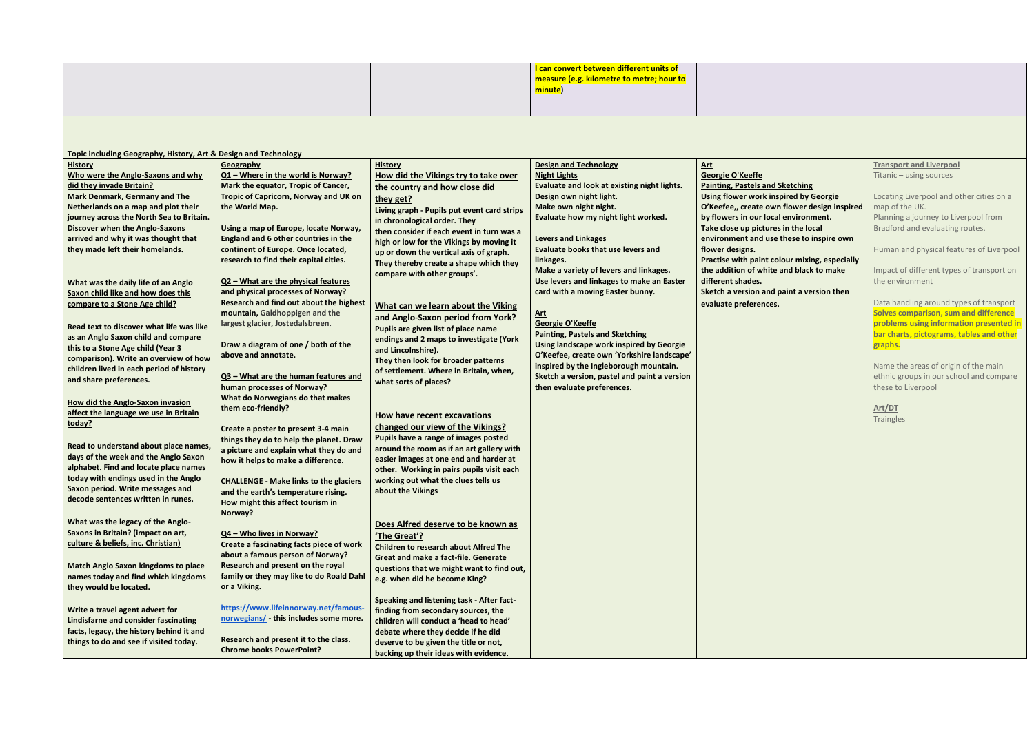|  | <mark>I can convert between different units of</mark><br>  measure (e.g. kilometre to metre: hour <i>f</i><br>measure (e.g. |  |
|--|-----------------------------------------------------------------------------------------------------------------------------|--|
|  | <mark>minute</mark> )                                                                                                       |  |

**Topic including Geography, History, Art & Design and Technology**

| $\frac{1}{2}$                               |                                               |                                              |                                              |                                              |
|---------------------------------------------|-----------------------------------------------|----------------------------------------------|----------------------------------------------|----------------------------------------------|
| <b>History</b>                              | <b>Geography</b>                              | <b>History</b>                               | <b>Design and Technology</b>                 | <u>Art</u>                                   |
| Who were the Anglo-Saxons and why           | Q1 - Where in the world is Norway?            | How did the Vikings try to take over         | <b>Night Lights</b>                          | <b>Georgie O'Keeffe</b>                      |
| did they invade Britain?                    | Mark the equator, Tropic of Cancer,           | the country and how close did                | Evaluate and look at existing night lights.  | <b>Painting, Pastels and Sketching</b>       |
| <b>Mark Denmark, Germany and The</b>        | Tropic of Capricorn, Norway and UK on         | they get?                                    | Design own night light.                      | <b>Using flower work inspired by Georgie</b> |
| Netherlands on a map and plot their         | the World Map.                                | Living graph - Pupils put event card strips  | Make own night night.                        | O'Keefee,, create own flower design inspir   |
| journey across the North Sea to Britain.    |                                               | in chronological order. They                 | Evaluate how my night light worked.          | by flowers in our local environment.         |
| <b>Discover when the Anglo-Saxons</b>       | Using a map of Europe, locate Norway,         | then consider if each event in turn was a    |                                              | Take close up pictures in the local          |
| arrived and why it was thought that         | England and 6 other countries in the          | high or low for the Vikings by moving it     | <b>Levers and Linkages</b>                   | environment and use these to inspire own     |
| they made left their homelands.             | continent of Europe. Once located,            | up or down the vertical axis of graph.       | <b>Evaluate books that use levers and</b>    | flower designs.                              |
|                                             | research to find their capital cities.        | They thereby create a shape which they       | linkages.                                    | Practise with paint colour mixing, especiall |
|                                             |                                               | compare with other groups'.                  | Make a variety of levers and linkages.       | the addition of white and black to make      |
| What was the daily life of an Anglo         | Q2 - What are the physical features           |                                              | Use levers and linkages to make an Easter    | different shades.                            |
| Saxon child like and how does this          | and physical processes of Norway?             |                                              | card with a moving Easter bunny.             | Sketch a version and paint a version then    |
| compare to a Stone Age child?               | Research and find out about the highest       | What can we learn about the Viking           |                                              | evaluate preferences.                        |
|                                             | mountain, Galdhoppigen and the                | and Anglo-Saxon period from York?            | <u>Art</u>                                   |                                              |
| Read text to discover what life was like    | largest glacier, Jostedalsbreen.              | Pupils are given list of place name          | Georgie O'Keeffe                             |                                              |
| as an Anglo Saxon child and compare         |                                               | endings and 2 maps to investigate (York      | <b>Painting, Pastels and Sketching</b>       |                                              |
| this to a Stone Age child (Year 3           | Draw a diagram of one / both of the           | and Lincolnshire).                           | Using landscape work inspired by Georgie     |                                              |
| comparison). Write an overview of how       | above and annotate.                           | They then look for broader patterns          | O'Keefee, create own 'Yorkshire landscape'   |                                              |
| children lived in each period of history    |                                               | of settlement. Where in Britain, when,       | inspired by the Ingleborough mountain.       |                                              |
| and share preferences.                      | Q3 - What are the human features and          | what sorts of places?                        | Sketch a version, pastel and paint a version |                                              |
|                                             | human processes of Norway?                    |                                              | then evaluate preferences.                   |                                              |
| <b>How did the Anglo-Saxon invasion</b>     | What do Norwegians do that makes              |                                              |                                              |                                              |
| affect the language we use in Britain       | them eco-friendly?                            |                                              |                                              |                                              |
| today?                                      |                                               | How have recent excavations                  |                                              |                                              |
|                                             | Create a poster to present 3-4 main           | changed our view of the Vikings?             |                                              |                                              |
|                                             | things they do to help the planet. Draw       | Pupils have a range of images posted         |                                              |                                              |
| Read to understand about place names,       | a picture and explain what they do and        | around the room as if an art gallery with    |                                              |                                              |
| days of the week and the Anglo Saxon        | how it helps to make a difference.            | easier images at one end and harder at       |                                              |                                              |
| alphabet. Find and locate place names       |                                               | other. Working in pairs pupils visit each    |                                              |                                              |
| today with endings used in the Anglo        | <b>CHALLENGE - Make links to the glaciers</b> | working out what the clues tells us          |                                              |                                              |
| Saxon period. Write messages and            | and the earth's temperature rising.           | about the Vikings                            |                                              |                                              |
| decode sentences written in runes.          | How might this affect tourism in              |                                              |                                              |                                              |
|                                             | Norway?                                       |                                              |                                              |                                              |
| What was the legacy of the Anglo-           |                                               | Does Alfred deserve to be known as           |                                              |                                              |
| <b>Saxons in Britain? (impact on art,</b>   | Q4 - Who lives in Norway?                     | 'The Great'?                                 |                                              |                                              |
| culture & beliefs, inc. Christian)          | Create a fascinating facts piece of work      | <b>Children to research about Alfred The</b> |                                              |                                              |
|                                             | about a famous person of Norway?              | Great and make a fact-file. Generate         |                                              |                                              |
| <b>Match Anglo Saxon kingdoms to place</b>  | Research and present on the royal             | questions that we might want to find out,    |                                              |                                              |
| names today and find which kingdoms         | family or they may like to do Roald Dah       | e.g. when did he become King?                |                                              |                                              |
| they would be located.                      | or a Viking.                                  |                                              |                                              |                                              |
|                                             |                                               | Speaking and listening task - After fact-    |                                              |                                              |
| Write a travel agent advert for             | https://www.lifeinnorway.net/famous-          | finding from secondary sources, the          |                                              |                                              |
| <b>Lindisfarne and consider fascinating</b> | norwegians/ - this includes some more.        | children will conduct a 'head to head'       |                                              |                                              |
| facts, legacy, the history behind it and    |                                               | debate where they decide if he did           |                                              |                                              |
| things to do and see if visited today.      | Research and present it to the class.         | deserve to be given the title or not,        |                                              |                                              |
|                                             | <b>Chrome books PowerPoint?</b>               | backing up their ideas with evidence.        |                                              |                                              |

**Transport and Liverpool**

| <b>Georgie O'Keeffe</b>                       | Titanic - using sources                   |
|-----------------------------------------------|-------------------------------------------|
| <b>Painting, Pastels and Sketching</b>        |                                           |
| <b>Using flower work inspired by Georgie</b>  | Locating Liverpool and other cities on a  |
| O'Keefee,, create own flower design inspired  | map of the UK.                            |
| by flowers in our local environment.          | Planning a journey to Liverpool from      |
| Take close up pictures in the local           | Bradford and evaluating routes.           |
| environment and use these to inspire own      |                                           |
| flower designs.                               | Human and physical features of Liverpool  |
| Practise with paint colour mixing, especially |                                           |
| the addition of white and black to make       | Impact of different types of transport on |
| different shades.                             | the environment                           |
| Sketch a version and paint a version then     |                                           |
| evaluate preferences.                         | Data handling around types of transport   |
|                                               | Solves comparison, sum and difference     |
|                                               | problems using information presented in   |
|                                               | bar charts, pictograms, tables and other  |
|                                               | graphs.                                   |
|                                               |                                           |
|                                               | Name the areas of origin of the main      |
|                                               | ethnic groups in our school and compare   |
|                                               | these to Liverpool                        |
|                                               |                                           |
|                                               | Art/DT                                    |
|                                               | <b>Traingles</b>                          |
|                                               |                                           |
|                                               |                                           |
|                                               |                                           |
|                                               |                                           |
|                                               |                                           |
|                                               |                                           |
|                                               |                                           |
|                                               |                                           |
|                                               |                                           |
|                                               |                                           |
|                                               |                                           |
|                                               |                                           |
|                                               |                                           |
|                                               |                                           |
|                                               |                                           |
|                                               |                                           |
|                                               |                                           |
|                                               |                                           |
|                                               |                                           |
|                                               |                                           |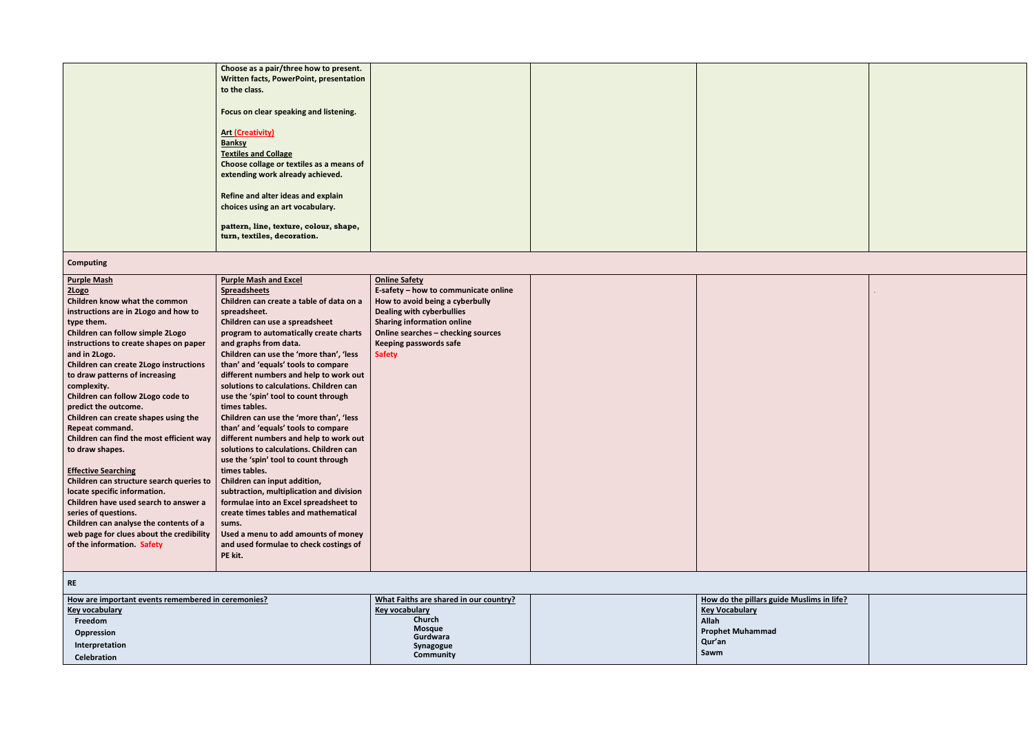| Choose as a pair/three how to present.         |  |  |
|------------------------------------------------|--|--|
| <b>Written facts, PowerPoint, presentation</b> |  |  |
| to the class.                                  |  |  |
|                                                |  |  |
| Focus on clear speaking and listening.         |  |  |
|                                                |  |  |
| <b>Art (Creativity)</b>                        |  |  |
|                                                |  |  |
| <b>Banksy</b>                                  |  |  |
| <b>Textiles and Collage</b>                    |  |  |
| Choose collage or textiles as a means of       |  |  |
| extending work already achieved.               |  |  |
|                                                |  |  |
| Refine and alter ideas and explain             |  |  |
|                                                |  |  |
| choices using an art vocabulary.               |  |  |
|                                                |  |  |
| pattern, line, texture, colour, shape,         |  |  |
| turn, textiles, decoration.                    |  |  |
|                                                |  |  |
|                                                |  |  |

## **Computing**

| <b>Purple Mash and Excel</b><br><b>Online Safety</b><br>E-safety - how to communicate online<br><b>Spreadsheets</b><br>Children can create a table of data on a<br>How to avoid being a cyberbully<br>instructions are in 2Logo and how to<br><b>Dealing with cyberbullies</b><br>spreadsheet.<br>Children can use a spreadsheet<br><b>Sharing information online</b><br>Online searches - checking sources<br>program to automatically create charts<br>and graphs from data.<br><b>Keeping passwords safe</b><br>Children can use the 'more than', 'less<br><b>Safety</b><br>than' and 'equals' tools to compare<br>different numbers and help to work out<br>solutions to calculations. Children can<br>use the 'spin' tool to count through<br>times tables.<br>Children can use the 'more than', 'less<br>than' and 'equals' tools to compare<br>different numbers and help to work out<br>solutions to calculations. Children can<br>use the 'spin' tool to count through<br>times tables.<br>Children can input addition,<br>subtraction, multiplication and division<br>formulae into an Excel spreadsheet to<br>create times tables and mathematical<br>sums.<br>Used a menu to add amounts of money<br>and used formulae to check costings of<br>PE kit. |                                               |  |
|--------------------------------------------------------------------------------------------------------------------------------------------------------------------------------------------------------------------------------------------------------------------------------------------------------------------------------------------------------------------------------------------------------------------------------------------------------------------------------------------------------------------------------------------------------------------------------------------------------------------------------------------------------------------------------------------------------------------------------------------------------------------------------------------------------------------------------------------------------------------------------------------------------------------------------------------------------------------------------------------------------------------------------------------------------------------------------------------------------------------------------------------------------------------------------------------------------------------------------------------------------------------|-----------------------------------------------|--|
|                                                                                                                                                                                                                                                                                                                                                                                                                                                                                                                                                                                                                                                                                                                                                                                                                                                                                                                                                                                                                                                                                                                                                                                                                                                                    | <b>Purple Mash</b>                            |  |
|                                                                                                                                                                                                                                                                                                                                                                                                                                                                                                                                                                                                                                                                                                                                                                                                                                                                                                                                                                                                                                                                                                                                                                                                                                                                    | 2Logo                                         |  |
|                                                                                                                                                                                                                                                                                                                                                                                                                                                                                                                                                                                                                                                                                                                                                                                                                                                                                                                                                                                                                                                                                                                                                                                                                                                                    | Children know what the common                 |  |
|                                                                                                                                                                                                                                                                                                                                                                                                                                                                                                                                                                                                                                                                                                                                                                                                                                                                                                                                                                                                                                                                                                                                                                                                                                                                    |                                               |  |
|                                                                                                                                                                                                                                                                                                                                                                                                                                                                                                                                                                                                                                                                                                                                                                                                                                                                                                                                                                                                                                                                                                                                                                                                                                                                    | type them.                                    |  |
|                                                                                                                                                                                                                                                                                                                                                                                                                                                                                                                                                                                                                                                                                                                                                                                                                                                                                                                                                                                                                                                                                                                                                                                                                                                                    | Children can follow simple 2Logo              |  |
|                                                                                                                                                                                                                                                                                                                                                                                                                                                                                                                                                                                                                                                                                                                                                                                                                                                                                                                                                                                                                                                                                                                                                                                                                                                                    | instructions to create shapes on paper        |  |
|                                                                                                                                                                                                                                                                                                                                                                                                                                                                                                                                                                                                                                                                                                                                                                                                                                                                                                                                                                                                                                                                                                                                                                                                                                                                    | and in 2Logo.                                 |  |
|                                                                                                                                                                                                                                                                                                                                                                                                                                                                                                                                                                                                                                                                                                                                                                                                                                                                                                                                                                                                                                                                                                                                                                                                                                                                    | <b>Children can create 2Logo instructions</b> |  |
|                                                                                                                                                                                                                                                                                                                                                                                                                                                                                                                                                                                                                                                                                                                                                                                                                                                                                                                                                                                                                                                                                                                                                                                                                                                                    | to draw patterns of increasing                |  |
|                                                                                                                                                                                                                                                                                                                                                                                                                                                                                                                                                                                                                                                                                                                                                                                                                                                                                                                                                                                                                                                                                                                                                                                                                                                                    | complexity.                                   |  |
|                                                                                                                                                                                                                                                                                                                                                                                                                                                                                                                                                                                                                                                                                                                                                                                                                                                                                                                                                                                                                                                                                                                                                                                                                                                                    | Children can follow 2Logo code to             |  |
|                                                                                                                                                                                                                                                                                                                                                                                                                                                                                                                                                                                                                                                                                                                                                                                                                                                                                                                                                                                                                                                                                                                                                                                                                                                                    | predict the outcome.                          |  |
|                                                                                                                                                                                                                                                                                                                                                                                                                                                                                                                                                                                                                                                                                                                                                                                                                                                                                                                                                                                                                                                                                                                                                                                                                                                                    | Children can create shapes using the          |  |
|                                                                                                                                                                                                                                                                                                                                                                                                                                                                                                                                                                                                                                                                                                                                                                                                                                                                                                                                                                                                                                                                                                                                                                                                                                                                    | Repeat command.                               |  |
|                                                                                                                                                                                                                                                                                                                                                                                                                                                                                                                                                                                                                                                                                                                                                                                                                                                                                                                                                                                                                                                                                                                                                                                                                                                                    | Children can find the most efficient way      |  |
|                                                                                                                                                                                                                                                                                                                                                                                                                                                                                                                                                                                                                                                                                                                                                                                                                                                                                                                                                                                                                                                                                                                                                                                                                                                                    | to draw shapes.                               |  |
|                                                                                                                                                                                                                                                                                                                                                                                                                                                                                                                                                                                                                                                                                                                                                                                                                                                                                                                                                                                                                                                                                                                                                                                                                                                                    |                                               |  |
|                                                                                                                                                                                                                                                                                                                                                                                                                                                                                                                                                                                                                                                                                                                                                                                                                                                                                                                                                                                                                                                                                                                                                                                                                                                                    | <b>Effective Searching</b>                    |  |
|                                                                                                                                                                                                                                                                                                                                                                                                                                                                                                                                                                                                                                                                                                                                                                                                                                                                                                                                                                                                                                                                                                                                                                                                                                                                    | Children can structure search queries to      |  |
|                                                                                                                                                                                                                                                                                                                                                                                                                                                                                                                                                                                                                                                                                                                                                                                                                                                                                                                                                                                                                                                                                                                                                                                                                                                                    | locate specific information.                  |  |
|                                                                                                                                                                                                                                                                                                                                                                                                                                                                                                                                                                                                                                                                                                                                                                                                                                                                                                                                                                                                                                                                                                                                                                                                                                                                    | Children have used search to answer a         |  |
|                                                                                                                                                                                                                                                                                                                                                                                                                                                                                                                                                                                                                                                                                                                                                                                                                                                                                                                                                                                                                                                                                                                                                                                                                                                                    | series of questions.                          |  |
|                                                                                                                                                                                                                                                                                                                                                                                                                                                                                                                                                                                                                                                                                                                                                                                                                                                                                                                                                                                                                                                                                                                                                                                                                                                                    | Children can analyse the contents of a        |  |
|                                                                                                                                                                                                                                                                                                                                                                                                                                                                                                                                                                                                                                                                                                                                                                                                                                                                                                                                                                                                                                                                                                                                                                                                                                                                    | web page for clues about the credibility      |  |
|                                                                                                                                                                                                                                                                                                                                                                                                                                                                                                                                                                                                                                                                                                                                                                                                                                                                                                                                                                                                                                                                                                                                                                                                                                                                    | of the information. Safety                    |  |
|                                                                                                                                                                                                                                                                                                                                                                                                                                                                                                                                                                                                                                                                                                                                                                                                                                                                                                                                                                                                                                                                                                                                                                                                                                                                    |                                               |  |
|                                                                                                                                                                                                                                                                                                                                                                                                                                                                                                                                                                                                                                                                                                                                                                                                                                                                                                                                                                                                                                                                                                                                                                                                                                                                    |                                               |  |
|                                                                                                                                                                                                                                                                                                                                                                                                                                                                                                                                                                                                                                                                                                                                                                                                                                                                                                                                                                                                                                                                                                                                                                                                                                                                    | <b>RE</b>                                     |  |

| How are important events remembered in ceremonies? | What Faiths are shared in our country? | How do the pillars guide Muslims in life? |  |
|----------------------------------------------------|----------------------------------------|-------------------------------------------|--|
| <b>Key vocabulary</b>                              | Key vocabulary                         | <b>Key Vocabulary</b>                     |  |
| Freedom                                            | Church                                 | Allah                                     |  |
| Oppression                                         | <b>Mosque</b>                          | <b>Prophet Muhammad</b>                   |  |
| Interpretation                                     | Gurdwara<br>Synagogue                  | Qur'an                                    |  |
| <b>Celebration</b>                                 | Community                              | Sawm                                      |  |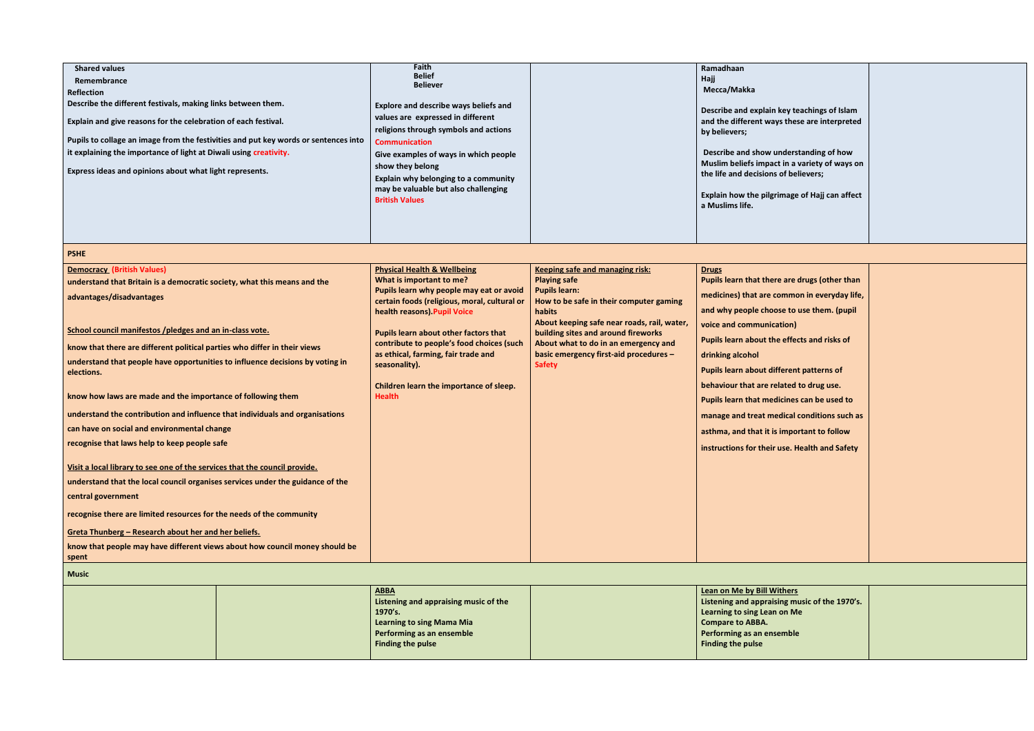| <b>Shared values</b><br>Remembrance<br><b>Reflection</b><br>Describe the different festivals, making links between them.<br>Explain and give reasons for the celebration of each festival.<br>Pupils to collage an image from the festivities and put key words or sentences into<br>it explaining the importance of light at Diwali using creativity.<br>Express ideas and opinions about what light represents.<br><b>PSHE</b> |  | Faith<br><b>Belief</b><br><b>Believer</b><br>Explore and describe ways beliefs and<br>values are expressed in different<br>religions through symbols and actions<br><b>Communication</b><br>Give examples of ways in which people<br>show they belong<br>Explain why belonging to a community<br>may be valuable but also challenging<br><b>British Values</b> |                                                                                                 | Ramadhaan<br>Hajj<br>Mecca/Makka<br>Describe and explain key teachings of Islam<br>and the different ways these are interpreted<br>by believers;<br>Describe and show understanding of how<br>Muslim beliefs impact in a variety of ways on<br>the life and decisions of believers;<br>Explain how the pilgrimage of Hajj can affect<br>a Muslims life. |
|----------------------------------------------------------------------------------------------------------------------------------------------------------------------------------------------------------------------------------------------------------------------------------------------------------------------------------------------------------------------------------------------------------------------------------|--|----------------------------------------------------------------------------------------------------------------------------------------------------------------------------------------------------------------------------------------------------------------------------------------------------------------------------------------------------------------|-------------------------------------------------------------------------------------------------|---------------------------------------------------------------------------------------------------------------------------------------------------------------------------------------------------------------------------------------------------------------------------------------------------------------------------------------------------------|
| <b>Democracy (British Values)</b>                                                                                                                                                                                                                                                                                                                                                                                                |  | <b>Physical Health &amp; Wellbeing</b>                                                                                                                                                                                                                                                                                                                         | <b>Keeping safe and managing risk:</b>                                                          | <b>Drugs</b>                                                                                                                                                                                                                                                                                                                                            |
|                                                                                                                                                                                                                                                                                                                                                                                                                                  |  | What is important to me?                                                                                                                                                                                                                                                                                                                                       | <b>Playing safe</b>                                                                             | Pupils learn that there are drugs (other than                                                                                                                                                                                                                                                                                                           |
| understand that Britain is a democratic society, what this means and the                                                                                                                                                                                                                                                                                                                                                         |  | Pupils learn why people may eat or avoid                                                                                                                                                                                                                                                                                                                       | <b>Pupils learn:</b>                                                                            |                                                                                                                                                                                                                                                                                                                                                         |
| advantages/disadvantages                                                                                                                                                                                                                                                                                                                                                                                                         |  | certain foods (religious, moral, cultural or                                                                                                                                                                                                                                                                                                                   | How to be safe in their computer gaming                                                         | medicines) that are common in everyday life,                                                                                                                                                                                                                                                                                                            |
|                                                                                                                                                                                                                                                                                                                                                                                                                                  |  | health reasons). Pupil Voice                                                                                                                                                                                                                                                                                                                                   | habits                                                                                          | and why people choose to use them. (pupil                                                                                                                                                                                                                                                                                                               |
|                                                                                                                                                                                                                                                                                                                                                                                                                                  |  |                                                                                                                                                                                                                                                                                                                                                                | About keeping safe near roads, rail, water,                                                     | voice and communication)                                                                                                                                                                                                                                                                                                                                |
| School council manifestos /pledges and an in-class vote.                                                                                                                                                                                                                                                                                                                                                                         |  | <b>Pupils learn about other factors that</b>                                                                                                                                                                                                                                                                                                                   | building sites and around fireworks                                                             | Pupils learn about the effects and risks of                                                                                                                                                                                                                                                                                                             |
| know that there are different political parties who differ in their views                                                                                                                                                                                                                                                                                                                                                        |  | contribute to people's food choices (such                                                                                                                                                                                                                                                                                                                      | About what to do in an emergency and<br>basic emergency first-aid procedures -<br><b>Safety</b> |                                                                                                                                                                                                                                                                                                                                                         |
| understand that people have opportunities to influence decisions by voting in                                                                                                                                                                                                                                                                                                                                                    |  | as ethical, farming, fair trade and<br>seasonality).                                                                                                                                                                                                                                                                                                           |                                                                                                 | drinking alcohol                                                                                                                                                                                                                                                                                                                                        |
| elections.                                                                                                                                                                                                                                                                                                                                                                                                                       |  |                                                                                                                                                                                                                                                                                                                                                                |                                                                                                 | Pupils learn about different patterns of                                                                                                                                                                                                                                                                                                                |
|                                                                                                                                                                                                                                                                                                                                                                                                                                  |  | Children learn the importance of sleep.                                                                                                                                                                                                                                                                                                                        |                                                                                                 | behaviour that are related to drug use.                                                                                                                                                                                                                                                                                                                 |
| know how laws are made and the importance of following them                                                                                                                                                                                                                                                                                                                                                                      |  | <b>Health</b>                                                                                                                                                                                                                                                                                                                                                  |                                                                                                 | Pupils learn that medicines can be used to                                                                                                                                                                                                                                                                                                              |
| understand the contribution and influence that individuals and organisations                                                                                                                                                                                                                                                                                                                                                     |  |                                                                                                                                                                                                                                                                                                                                                                |                                                                                                 | manage and treat medical conditions such as                                                                                                                                                                                                                                                                                                             |
| can have on social and environmental change                                                                                                                                                                                                                                                                                                                                                                                      |  |                                                                                                                                                                                                                                                                                                                                                                |                                                                                                 | asthma, and that it is important to follow                                                                                                                                                                                                                                                                                                              |
| recognise that laws help to keep people safe                                                                                                                                                                                                                                                                                                                                                                                     |  |                                                                                                                                                                                                                                                                                                                                                                |                                                                                                 | instructions for their use. Health and Safety                                                                                                                                                                                                                                                                                                           |
|                                                                                                                                                                                                                                                                                                                                                                                                                                  |  |                                                                                                                                                                                                                                                                                                                                                                |                                                                                                 |                                                                                                                                                                                                                                                                                                                                                         |
| Visit a local library to see one of the services that the council provide.                                                                                                                                                                                                                                                                                                                                                       |  |                                                                                                                                                                                                                                                                                                                                                                |                                                                                                 |                                                                                                                                                                                                                                                                                                                                                         |
| understand that the local council organises services under the guidance of the                                                                                                                                                                                                                                                                                                                                                   |  |                                                                                                                                                                                                                                                                                                                                                                |                                                                                                 |                                                                                                                                                                                                                                                                                                                                                         |
| central government                                                                                                                                                                                                                                                                                                                                                                                                               |  |                                                                                                                                                                                                                                                                                                                                                                |                                                                                                 |                                                                                                                                                                                                                                                                                                                                                         |
| recognise there are limited resources for the needs of the community                                                                                                                                                                                                                                                                                                                                                             |  |                                                                                                                                                                                                                                                                                                                                                                |                                                                                                 |                                                                                                                                                                                                                                                                                                                                                         |
| Greta Thunberg - Research about her and her beliefs.                                                                                                                                                                                                                                                                                                                                                                             |  |                                                                                                                                                                                                                                                                                                                                                                |                                                                                                 |                                                                                                                                                                                                                                                                                                                                                         |
| know that people may have different views about how council money should be<br>spent                                                                                                                                                                                                                                                                                                                                             |  |                                                                                                                                                                                                                                                                                                                                                                |                                                                                                 |                                                                                                                                                                                                                                                                                                                                                         |
| <b>Music</b>                                                                                                                                                                                                                                                                                                                                                                                                                     |  |                                                                                                                                                                                                                                                                                                                                                                |                                                                                                 |                                                                                                                                                                                                                                                                                                                                                         |
|                                                                                                                                                                                                                                                                                                                                                                                                                                  |  | <b>ABBA</b>                                                                                                                                                                                                                                                                                                                                                    |                                                                                                 | Lean on Me by Bill Withers                                                                                                                                                                                                                                                                                                                              |
|                                                                                                                                                                                                                                                                                                                                                                                                                                  |  | Listening and appraising music of the<br>1970's.                                                                                                                                                                                                                                                                                                               |                                                                                                 | Listening and appraising music of the 1970's.<br>Learning to sing Lean on Me                                                                                                                                                                                                                                                                            |

**Learning to sing Mama Mia Performing as an ensemble**

**Finding the pulse** 

| ey teachings of Islam<br>s these are interpreted                |  |
|-----------------------------------------------------------------|--|
| nderstanding of how<br>in a variety of ways on<br>of believers; |  |
| mage of Hajj can affect                                         |  |
|                                                                 |  |

| are drugs (other than         |  |
|-------------------------------|--|
| mmon in everyday life,        |  |
| e to use them. (pupil         |  |
| tion)                         |  |
| effects and risks of          |  |
|                               |  |
| erent patterns of             |  |
| ated to drug use.             |  |
| cines can be used to          |  |
| dical conditions such as      |  |
| important to follow           |  |
| <b>Ise. Health and Safety</b> |  |
|                               |  |
|                               |  |
|                               |  |
|                               |  |
|                               |  |
|                               |  |
|                               |  |
|                               |  |

| <b>Lean on Me by Bill Withers</b>             |  |
|-----------------------------------------------|--|
| Listening and appraising music of the 1970's. |  |
| Learning to sing Lean on Me                   |  |
| <b>Compare to ABBA.</b>                       |  |
| Performing as an ensemble                     |  |
| <b>Finding the pulse</b>                      |  |
|                                               |  |